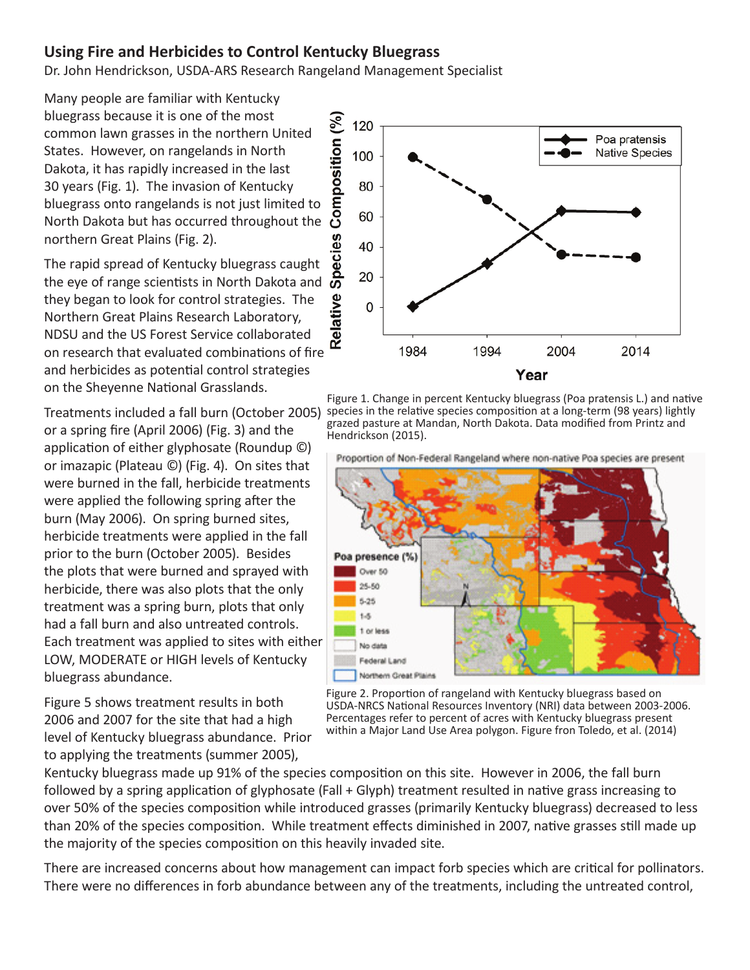## **Using Fire and Herbicides to Control Kentucky Bluegrass**

Dr. John Hendrickson, USDA-ARS Research Rangeland Management Specialist

Many people are familiar with Kentucky bluegrass because it is one of the most common lawn grasses in the northern United States. However, on rangelands in North Dakota, it has rapidly increased in the last 30 years (Fig. 1). The invasion of Kentucky bluegrass onto rangelands is not just limited to Diuegrass because it is one or the most<br>
common lawn grasses in the northern United<br>
States. However, on rangelands in North<br>
Dakota, it has rapidly increased in the last<br>
30 years (Fig. 1). The invasion of Kentucky<br>
blue northern Great Plains (Fig. 2).

The rapid spread of Kentucky bluegrass caught northern Great Plains (Fig. 2).<br>The rapid spread of Kentucky bluegrass caught<br>the eye of range scientists in North Dakota and  $\overline{\bullet}$ they began to look for control strategies. The Northern Great Plains Research Laboratory, NDSU and the US Forest Service collaborated on research that evaluated combinations of fire and herbicides as potential control strategies on the Sheyenne National Grasslands.

Treatments included a fall burn (October 2005) or a spring fire (April 2006) (Fig. 3) and the application of either glyphosate (Roundup ©) or imazapic (Plateau ©) (Fig. 4). On sites that were burned in the fall, herbicide treatments were applied the following spring after the burn (May 2006). On spring burned sites, herbicide treatments were applied in the fall prior to the burn (October 2005). Besides the plots that were burned and sprayed with herbicide, there was also plots that the only treatment was a spring burn, plots that only had a fall burn and also untreated controls. Each treatment was applied to sites with either LOW, MODERATE or HIGH levels of Kentucky bluegrass abundance.

Figure 5 shows treatment results in both 2006 and 2007 for the site that had a high level of Kentucky bluegrass abundance. Prior to applying the treatments (summer 2005),



Figure 1. Change in percent Kentucky bluegrass (Poa pratensis L.) and native species in the relative species composition at a long-term (98 years) lightly grazed pasture at Mandan, North Dakota. Data modified from Printz and Hendrickson (2015).



Figure 2. Proportion of rangeland with Kentucky bluegrass based on USDA-NRCS National Resources Inventory (NRI) data between 2003-2006. Percentages refer to percent of acres with Kentucky bluegrass present within a Major Land Use Area polygon. Figure fron Toledo, et al. (2014)

Kentucky bluegrass made up 91% of the species composition on this site. However in 2006, the fall burn followed by a spring application of glyphosate (Fall + Glyph) treatment resulted in native grass increasing to over 50% of the species composition while introduced grasses (primarily Kentucky bluegrass) decreased to less than 20% of the species composition. While treatment effects diminished in 2007, native grasses still made up the majority of the species composition on this heavily invaded site.

There are increased concerns about how management can impact forb species which are critical for pollinators. There were no differences in forb abundance between any of the treatments, including the untreated control,

Proportion of Non-Federal Rangeland where non-native Poa species are present